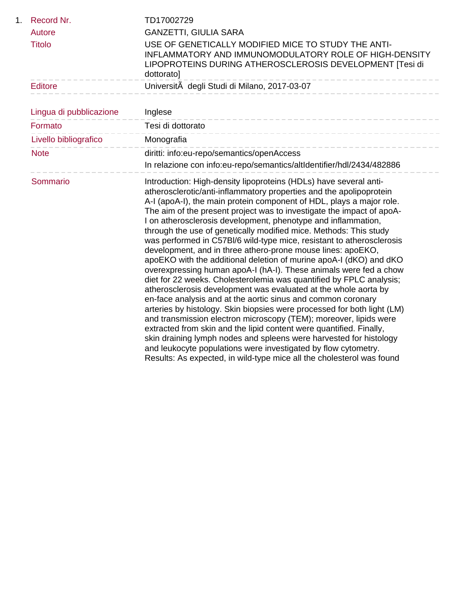| 1. | Record Nr.              | TD17002729                                                                                                                                                                                                                                                                                                                                                                                                                                                                                                                                                                                                                                                                                                                                                                                                                                                                                                                                                                                                                                                                                                                                                                                                                                                                                                                                                           |
|----|-------------------------|----------------------------------------------------------------------------------------------------------------------------------------------------------------------------------------------------------------------------------------------------------------------------------------------------------------------------------------------------------------------------------------------------------------------------------------------------------------------------------------------------------------------------------------------------------------------------------------------------------------------------------------------------------------------------------------------------------------------------------------------------------------------------------------------------------------------------------------------------------------------------------------------------------------------------------------------------------------------------------------------------------------------------------------------------------------------------------------------------------------------------------------------------------------------------------------------------------------------------------------------------------------------------------------------------------------------------------------------------------------------|
|    | Autore                  | <b>GANZETTI, GIULIA SARA</b>                                                                                                                                                                                                                                                                                                                                                                                                                                                                                                                                                                                                                                                                                                                                                                                                                                                                                                                                                                                                                                                                                                                                                                                                                                                                                                                                         |
|    | <b>Titolo</b>           | USE OF GENETICALLY MODIFIED MICE TO STUDY THE ANTI-<br>INFLAMMATORY AND IMMUNOMODULATORY ROLE OF HIGH-DENSITY<br>LIPOPROTEINS DURING ATHEROSCLEROSIS DEVELOPMENT [Tesi di<br>dottorato]                                                                                                                                                                                                                                                                                                                                                                                                                                                                                                                                                                                                                                                                                                                                                                                                                                                                                                                                                                                                                                                                                                                                                                              |
|    | <b>Editore</b>          | UniversitĂ degli Studi di Milano, 2017-03-07                                                                                                                                                                                                                                                                                                                                                                                                                                                                                                                                                                                                                                                                                                                                                                                                                                                                                                                                                                                                                                                                                                                                                                                                                                                                                                                         |
|    | Lingua di pubblicazione | Inglese                                                                                                                                                                                                                                                                                                                                                                                                                                                                                                                                                                                                                                                                                                                                                                                                                                                                                                                                                                                                                                                                                                                                                                                                                                                                                                                                                              |
|    | Formato                 | -----------------------------<br>Tesi di dottorato                                                                                                                                                                                                                                                                                                                                                                                                                                                                                                                                                                                                                                                                                                                                                                                                                                                                                                                                                                                                                                                                                                                                                                                                                                                                                                                   |
|    | Livello bibliografico   | Monografia                                                                                                                                                                                                                                                                                                                                                                                                                                                                                                                                                                                                                                                                                                                                                                                                                                                                                                                                                                                                                                                                                                                                                                                                                                                                                                                                                           |
|    | <b>Note</b>             | diritti: info:eu-repo/semantics/openAccess<br>In relazione con info:eu-repo/semantics/altIdentifier/hdl/2434/482886                                                                                                                                                                                                                                                                                                                                                                                                                                                                                                                                                                                                                                                                                                                                                                                                                                                                                                                                                                                                                                                                                                                                                                                                                                                  |
|    | Sommario                | Introduction: High-density lipoproteins (HDLs) have several anti-<br>atherosclerotic/anti-inflammatory properties and the apolipoprotein<br>A-I (apoA-I), the main protein component of HDL, plays a major role.<br>The aim of the present project was to investigate the impact of apoA-<br>I on atherosclerosis development, phenotype and inflammation,<br>through the use of genetically modified mice. Methods: This study<br>was performed in C57BI/6 wild-type mice, resistant to atherosclerosis<br>development, and in three athero-prone mouse lines: apoEKO,<br>apoEKO with the additional deletion of murine apoA-I (dKO) and dKO<br>overexpressing human apoA-I (hA-I). These animals were fed a chow<br>diet for 22 weeks. Cholesterolemia was quantified by FPLC analysis;<br>atherosclerosis development was evaluated at the whole aorta by<br>en-face analysis and at the aortic sinus and common coronary<br>arteries by histology. Skin biopsies were processed for both light (LM)<br>and transmission electron microscopy (TEM); moreover, lipids were<br>extracted from skin and the lipid content were quantified. Finally,<br>skin draining lymph nodes and spleens were harvested for histology<br>and leukocyte populations were investigated by flow cytometry.<br>Results: As expected, in wild-type mice all the cholesterol was found |